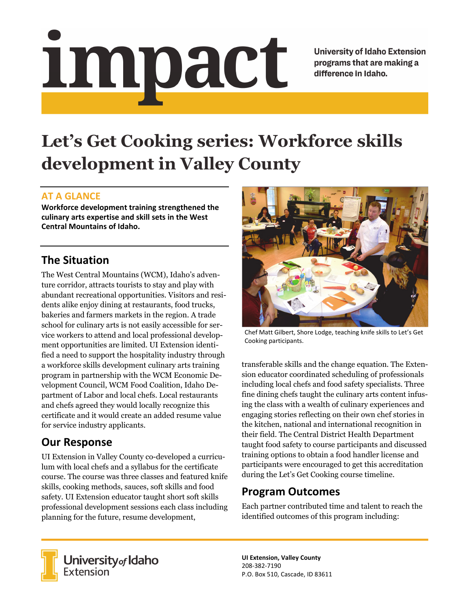# impact

**University of Idaho Extension** programs that are making a difference in Idaho.

# **Let's Get Cooking series: Workforce skills development in Valley County**

### **AT A GLANCE**

**Workforce development training strengthened the culinary arts expertise and skill sets in the West Central Mountains of Idaho.** 

## **The Situation**

The West Central Mountains (WCM), Idaho's adventure corridor, attracts tourists to stay and play with abundant recreational opportunities. Visitors and residents alike enjoy dining at restaurants, food trucks, bakeries and farmers markets in the region. A trade school for culinary arts is not easily accessible for service workers to attend and local professional development opportunities are limited. UI Extension identified a need to support the hospitality industry through a workforce skills development culinary arts training program in partnership with the WCM Economic Development Council, WCM Food Coalition, Idaho Department of Labor and local chefs. Local restaurants and chefs agreed they would locally recognize this certificate and it would create an added resume value for service industry applicants.

# **Our Response**

UI Extension in Valley County co-developed a curriculum with local chefs and a syllabus for the certificate course. The course was three classes and featured knife skills, cooking methods, sauces, soft skills and food safety. UI Extension educator taught short soft skills professional development sessions each class including planning for the future, resume development,



Chef Matt Gilbert, Shore Lodge, teaching knife skills to Let's Get Cooking participants.

transferable skills and the change equation. The Extension educator coordinated scheduling of professionals including local chefs and food safety specialists. Three fine dining chefs taught the culinary arts content infusing the class with a wealth of culinary experiences and engaging stories reflecting on their own chef stories in the kitchen, national and international recognition in their field. The Central District Health Department taught food safety to course participants and discussed training options to obtain a food handler license and participants were encouraged to get this accreditation during the Let's Get Cooking course timeline.

### **Program Outcomes**

Each partner contributed time and talent to reach the identified outcomes of this program including:



**University** of Idaho<br>Extension

**UI Extension, Valley County**  208‐382‐7190 P.O. Box 510, Cascade, ID 83611